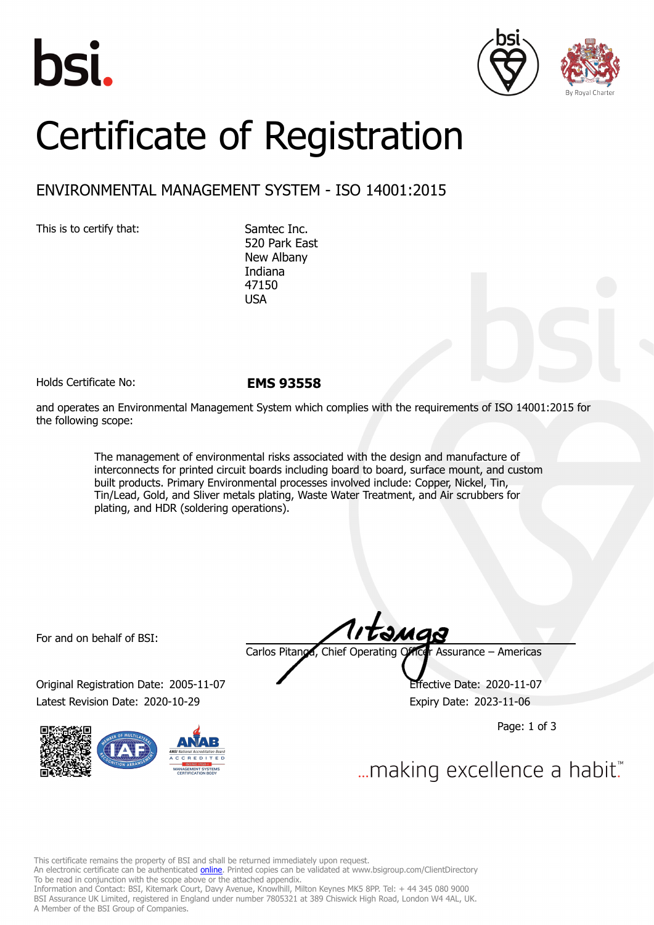





## Certificate of Registration

## ENVIRONMENTAL MANAGEMENT SYSTEM - ISO 14001:2015

This is to certify that: Samtec Inc.

520 Park East New Albany Indiana 47150 USA

Holds Certificate No: **EMS 93558**

and operates an Environmental Management System which complies with the requirements of ISO 14001:2015 for the following scope:

> The management of environmental risks associated with the design and manufacture of interconnects for printed circuit boards including board to board, surface mount, and custom built products. Primary Environmental processes involved include: Copper, Nickel, Tin, Tin/Lead, Gold, and Sliver metals plating, Waste Water Treatment, and Air scrubbers for plating, and HDR (soldering operations).

For and on behalf of BSI:

Original Registration Date: 2005-11-07 Effective Date: 2020-11-07 Latest Revision Date: 2020-10-29 Expiry Date: 2023-11-06



tangs Carlos Pitanga, Chief Operating Officer Assurance – Americas

Page: 1 of 3

... making excellence a habit."

This certificate remains the property of BSI and shall be returned immediately upon request.

An electronic certificate can be authenticated *[online](https://pgplus.bsigroup.com/CertificateValidation/CertificateValidator.aspx?CertificateNumber=EMS+93558&ReIssueDate=29%2f10%2f2020&Template=inc)*. Printed copies can be validated at www.bsigroup.com/ClientDirectory To be read in conjunction with the scope above or the attached appendix.

Information and Contact: BSI, Kitemark Court, Davy Avenue, Knowlhill, Milton Keynes MK5 8PP. Tel: + 44 345 080 9000 BSI Assurance UK Limited, registered in England under number 7805321 at 389 Chiswick High Road, London W4 4AL, UK. A Member of the BSI Group of Companies.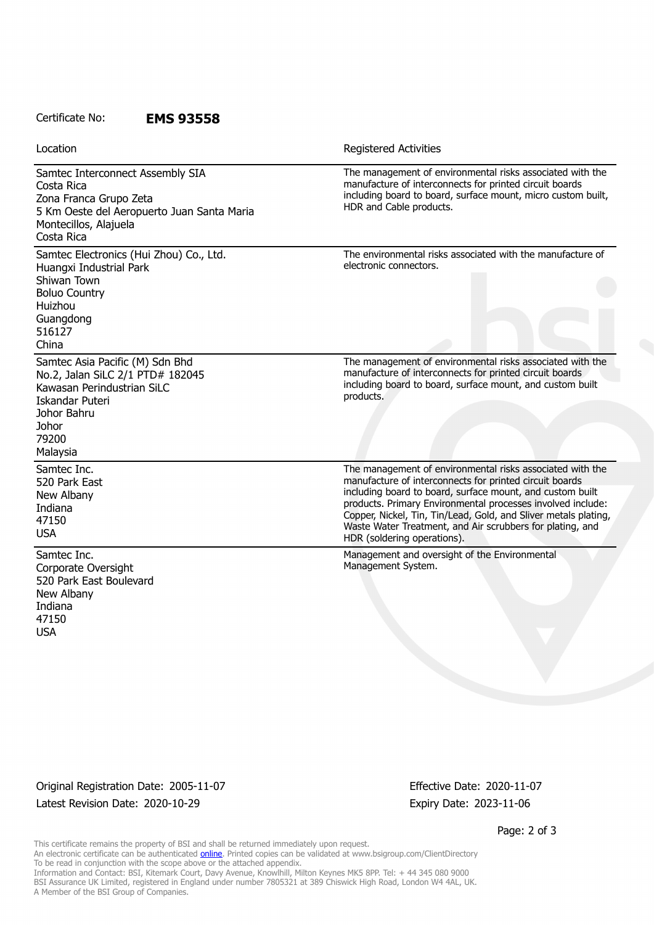## Certificate No: **EMS 93558**

| Location                                                                                                                                                                 | <b>Registered Activities</b>                                                                                                                                                                                                                                                                                                                                                                                    |
|--------------------------------------------------------------------------------------------------------------------------------------------------------------------------|-----------------------------------------------------------------------------------------------------------------------------------------------------------------------------------------------------------------------------------------------------------------------------------------------------------------------------------------------------------------------------------------------------------------|
| Samtec Interconnect Assembly SIA<br>Costa Rica<br>Zona Franca Grupo Zeta<br>5 Km Oeste del Aeropuerto Juan Santa Maria<br>Montecillos, Alajuela<br>Costa Rica            | The management of environmental risks associated with the<br>manufacture of interconnects for printed circuit boards<br>including board to board, surface mount, micro custom built,<br>HDR and Cable products.                                                                                                                                                                                                 |
| Samtec Electronics (Hui Zhou) Co., Ltd.<br>Huangxi Industrial Park<br>Shiwan Town<br><b>Boluo Country</b><br>Huizhou<br>Guangdong<br>516127<br>China                     | The environmental risks associated with the manufacture of<br>electronic connectors.                                                                                                                                                                                                                                                                                                                            |
| Samtec Asia Pacific (M) Sdn Bhd<br>No.2, Jalan SiLC 2/1 PTD# 182045<br>Kawasan Perindustrian SiLC<br><b>Iskandar Puteri</b><br>Johor Bahru<br>Johor<br>79200<br>Malaysia | The management of environmental risks associated with the<br>manufacture of interconnects for printed circuit boards<br>including board to board, surface mount, and custom built<br>products.                                                                                                                                                                                                                  |
| Samtec Inc.<br>520 Park East<br>New Albany<br>Indiana<br>47150<br><b>USA</b>                                                                                             | The management of environmental risks associated with the<br>manufacture of interconnects for printed circuit boards<br>including board to board, surface mount, and custom built<br>products. Primary Environmental processes involved include:<br>Copper, Nickel, Tin, Tin/Lead, Gold, and Sliver metals plating,<br>Waste Water Treatment, and Air scrubbers for plating, and<br>HDR (soldering operations). |
| Samtec Inc.<br>Corporate Oversight<br>520 Park East Boulevard<br>New Albany<br>Indiana<br>47150<br><b>USA</b>                                                            | Management and oversight of the Environmental<br>Management System.                                                                                                                                                                                                                                                                                                                                             |

Original Registration Date: 2005-11-07 Effective Date: 2020-11-07 Latest Revision Date: 2020-10-29 Expiry Date: 2023-11-06

Page: 2 of 3

This certificate remains the property of BSI and shall be returned immediately upon request. An electronic certificate can be authenticated <u>[online](https://pgplus.bsigroup.com/CertificateValidation/CertificateValidator.aspx?CertificateNumber=EMS+93558&ReIssueDate=29%2f10%2f2020&Template=inc)</u>. Printed copies can be validated at www.bsigroup.com/ClientDirectory To be read in conjunction with the scope above or the attached appendix. Information and Contact: BSI, Kitemark Court, Davy Avenue, Knowlhill, Milton Keynes MK5 8PP. Tel: + 44 345 080 9000 BSI Assurance UK Limited, registered in England under number 7805321 at 389 Chiswick High Road, London W4 4AL, UK. A Member of the BSI Group of Companies.